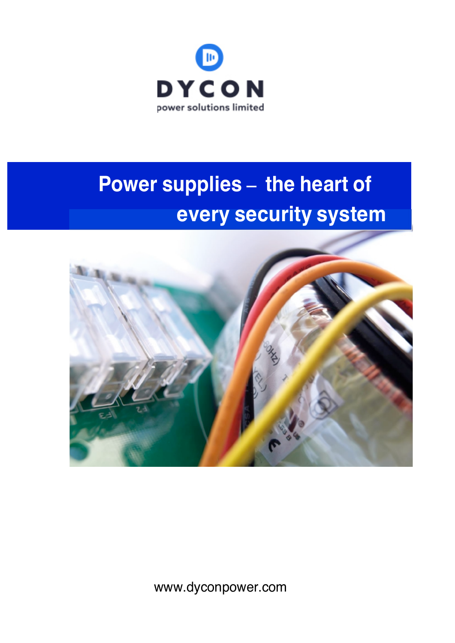

# **Power supplies** - the heart of **every security system**



www.dyconpower.com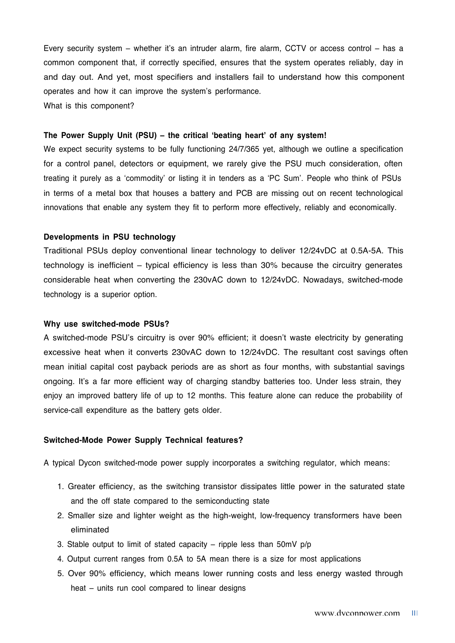Every security system – whether it's an intruder alarm, fire alarm, CCTV or access control – has a common component that, if correctly specified, ensures that the system operates reliably, day in and day out. And yet, most specifiers and installers fail to understand how this component operates and how it can improve the system's performance. What is this component?

## **The Power Supply Unit (PSU) – the critical 'beating heart' of any system!**

We expect security systems to be fully functioning 24/7/365 yet, although we outline a specification for a control panel, detectors or equipment, we rarely give the PSU much consideration, often treating it purely as a 'commodity' or listing it in tenders as a 'PC Sum'. People who think of PSUs in terms of a metal box that houses a battery and PCB are missing out on recent technological innovations that enable any system they fit to perform more effectively, reliably and economically.

### **Developments in PSU technology**

Traditional PSUs deploy conventional linear technology to deliver 12/24vDC at 0.5A-5A. This technology is inefficient – typical efficiency is less than 30% because the circuitry generates considerable heat when converting the 230vAC down to 12/24vDC. Nowadays, switched-mode technology is a superior option.

## **Why use switched-mode PSUs?**

A switched-mode PSU's circuitry is over 90% efficient; it doesn't waste electricity by generating excessive heat when it converts 230vAC down to 12/24vDC. The resultant cost savings often mean initial capital cost payback periods are as short as four months, with substantial savings ongoing. It's a far more efficient way of charging standby batteries too. Under less strain, they enjoy an improved battery life of up to 12 months. This feature alone can reduce the probability of service-call expenditure as the battery gets older.

## **Switched-Mode Power Supply Technical features?**

A typical Dycon switched-mode power supply incorporates a switching regulator, which means:

- 1. Greater efficiency, as the switching transistor dissipates little power in the saturated state and the off state compared to the semiconducting state
- 2. Smaller size and lighter weight as the high-weight, low-frequency transformers have been eliminated
- 3. Stable output to limit of stated capacity ripple less than 50mV p/p
- 4. Output current ranges from 0.5A to 5A mean there is a size for most applications
- 5. Over 90% efficiency, which means lower running costs and less energy wasted through heat – units run cool compared to linear designs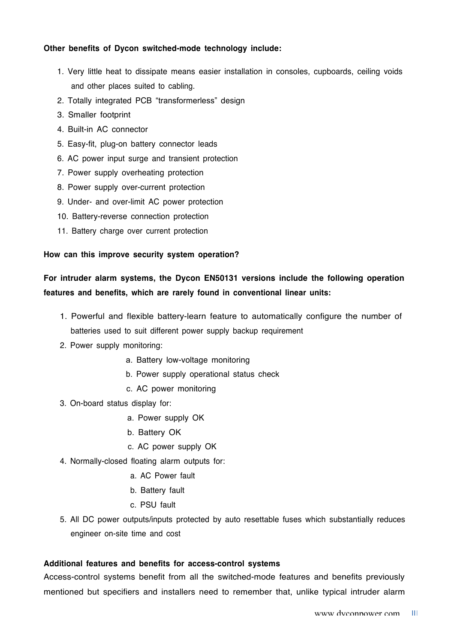## **Other benefits of Dycon switched-mode technology include:**

- 1. Very little heat to dissipate means easier installation in consoles, cupboards, ceiling voids and other places suited to cabling.
- 2. Totally integrated PCB "transformerless" design
- 3. Smaller footprint
- 4. Built-in AC connector
- 5. Easy-fit, plug-on battery connector leads
- 6. AC power input surge and transient protection
- 7. Power supply overheating protection
- 8. Power supply over-current protection
- 9. Under- and over-limit AC power protection
- 10. Battery-reverse connection protection
- 11. Battery charge over current protection

## **How can this improve security system operation?**

# **For intruder alarm systems, the Dycon EN50131 versions include the following operation features and benefits, which are rarely found in conventional linear units:**

- 1. Powerful and flexible battery-learn feature to automatically configure the number of batteries used to suit different power supply backup requirement
- 2. Power supply monitoring:
	- a. Battery low-voltage monitoring
	- b. Power supply operational status check
	- c. AC power monitoring
- 3. On-board status display for:
	- a. Power supply OK
	- b. Battery OK
	- c. AC power supply OK
- 4. Normally-closed floating alarm outputs for:
	- a. AC Power fault
	- b. Battery fault
	- c. PSU fault
- 5. All DC power outputs/inputs protected by auto resettable fuses which substantially reduces engineer on-site time and cost

## **Additional features and benefits for access-control systems**

Access-control systems benefit from all the switched-mode features and benefits previously mentioned but specifiers and installers need to remember that, unlike typical intruder alarm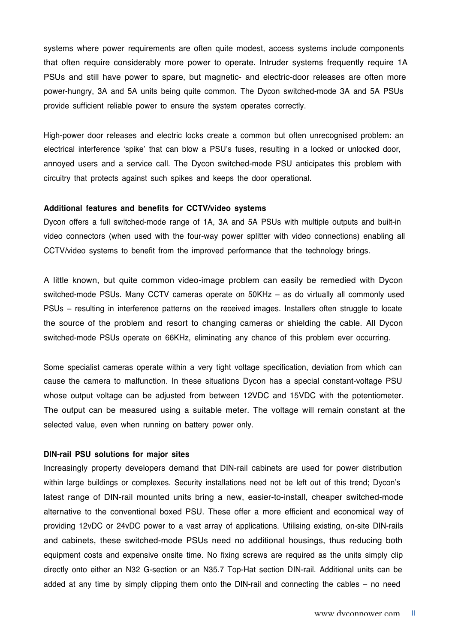systems where power requirements are often quite modest, access systems include components that often require considerably more power to operate. Intruder systems frequently require 1A PSUs and still have power to spare, but magnetic- and electric-door releases are often more power-hungry, 3A and 5A units being quite common. The Dycon switched-mode 3A and 5A PSUs provide sufficient reliable power to ensure the system operates correctly.

High-power door releases and electric locks create a common but often unrecognised problem: an electrical interference 'spike' that can blow a PSU's fuses, resulting in a locked or unlocked door, annoyed users and a service call. The Dycon switched-mode PSU anticipates this problem with circuitry that protects against such spikes and keeps the door operational.

## **Additional features and benefits for CCTV/video systems**

Dycon offers a full switched-mode range of 1A, 3A and 5A PSUs with multiple outputs and built-in video connectors (when used with the four-way power splitter with video connections) enabling all CCTV/video systems to benefit from the improved performance that the technology brings.

A little known, but quite common video-image problem can easily be remedied with Dycon switched-mode PSUs. Many CCTV cameras operate on 50KHz – as do virtually all commonly used PSUs – resulting in interference patterns on the received images. Installers often struggle to locate the source of the problem and resort to changing cameras or shielding the cable. All Dycon switched-mode PSUs operate on 66KHz, eliminating any chance of this problem ever occurring.

Some specialist cameras operate within a very tight voltage specification, deviation from which can cause the camera to malfunction. In these situations Dycon has a special constant-voltage PSU whose output voltage can be adjusted from between 12VDC and 15VDC with the potentiometer. The output can be measured using a suitable meter. The voltage will remain constant at the selected value, even when running on battery power only.

## **DIN-rail PSU solutions for major sites**

Increasingly property developers demand that DIN-rail cabinets are used for power distribution within large buildings or complexes. Security installations need not be left out of this trend; Dycon's latest range of DIN-rail mounted units bring a new, easier-to-install, cheaper switched-mode alternative to the conventional boxed PSU. These offer a more efficient and economical way of providing 12vDC or 24vDC power to a vast array of applications. Utilising existing, on-site DIN-rails and cabinets, these switched-mode PSUs need no additional housings, thus reducing both equipment costs and expensive onsite time. No fixing screws are required as the units simply clip directly onto either an N32 G-section or an N35.7 Top-Hat section DIN-rail. Additional units can be added at any time by simply clipping them onto the DIN-rail and connecting the cables – no need